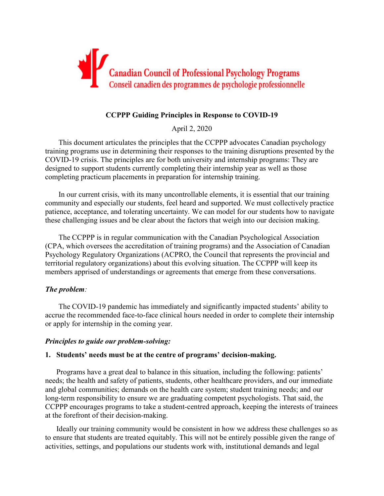

# **CCPPP Guiding Principles in Response to COVID-19**

April 2, 2020

This document articulates the principles that the CCPPP advocates Canadian psychology training programs use in determining their responses to the training disruptions presented by the COVID-19 crisis. The principles are for both university and internship programs: They are designed to support students currently completing their internship year as well as those completing practicum placements in preparation for internship training.

In our current crisis, with its many uncontrollable elements, it is essential that our training community and especially our students, feel heard and supported. We must collectively practice patience, acceptance, and tolerating uncertainty. We can model for our students how to navigate these challenging issues and be clear about the factors that weigh into our decision making.

The CCPPP is in regular communication with the Canadian Psychological Association (CPA, which oversees the accreditation of training programs) and the Association of Canadian Psychology Regulatory Organizations (ACPRO, the Council that represents the provincial and territorial regulatory organizations) about this evolving situation. The CCPPP will keep its members apprised of understandings or agreements that emerge from these conversations.

## *The problem:*

The COVID-19 pandemic has immediately and significantly impacted students' ability to accrue the recommended face-to-face clinical hours needed in order to complete their internship or apply for internship in the coming year.

### *Principles to guide our problem-solving:*

## **1. Students' needs must be at the centre of programs' decision-making.**

Programs have a great deal to balance in this situation, including the following: patients' needs; the health and safety of patients, students, other healthcare providers, and our immediate and global communities; demands on the health care system; student training needs; and our long-term responsibility to ensure we are graduating competent psychologists. That said, the CCPPP encourages programs to take a student-centred approach, keeping the interests of trainees at the forefront of their decision-making.

Ideally our training community would be consistent in how we address these challenges so as to ensure that students are treated equitably. This will not be entirely possible given the range of activities, settings, and populations our students work with, institutional demands and legal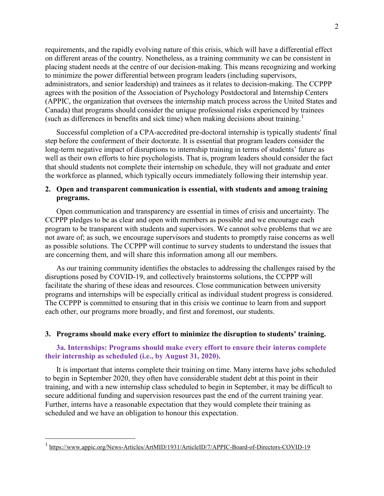requirements, and the rapidly evolving nature of this crisis, which will have a differential effect on different areas of the country. Nonetheless, as a training community we can be consistent in placing student needs at the centre of our decision-making. This means recognizing and working to minimize the power differential between program leaders (including supervisors, administrators, and senior leadership) and trainees as it relates to decision-making. The CCPPP agrees with the position of the Association of Psychology Postdoctoral and Internship Centers (APPIC, the organization that oversees the internship match process across the United States and Canada) that programs should consider the unique professional risks experienced by trainees (such as differences in benefits and sick time) when making decisions about training.<sup>[1](#page-1-0)</sup>

Successful completion of a CPA-accredited pre-doctoral internship is typically students' final step before the conferment of their doctorate. It is essential that program leaders consider the long-term negative impact of disruptions to internship training in terms of students' future as well as their own efforts to hire psychologists. That is, program leaders should consider the fact that should students not complete their internship on schedule, they will not graduate and enter the workforce as planned, which typically occurs immediately following their internship year.

## **2. Open and transparent communication is essential, with students and among training programs.**

Open communication and transparency are essential in times of crisis and uncertainty. The CCPPP pledges to be as clear and open with members as possible and we encourage each program to be transparent with students and supervisors. We cannot solve problems that we are not aware of; as such, we encourage supervisors and students to promptly raise concerns as well as possible solutions. The CCPPP will continue to survey students to understand the issues that are concerning them, and will share this information among all our members.

As our training community identifies the obstacles to addressing the challenges raised by the disruptions posed by COVID-19, and collectively brainstorms solutions, the CCPPP will facilitate the sharing of these ideas and resources. Close communication between university programs and internships will be especially critical as individual student progress is considered. The CCPPP is committed to ensuring that in this crisis we continue to learn from and support each other, our programs more broadly, and first and foremost, our students.

### **3. Programs should make every effort to minimize the disruption to students' training.**

## **3a. Internships: Programs should make every effort to ensure their interns complete their internship as scheduled (i.e., by August 31, 2020).**

It is important that interns complete their training on time. Many interns have jobs scheduled to begin in September 2020, they often have considerable student debt at this point in their training, and with a new internship class scheduled to begin in September, it may be difficult to secure additional funding and supervision resources past the end of the current training year. Further, interns have a reasonable expectation that they would complete their training as scheduled and we have an obligation to honour this expectation.

<span id="page-1-0"></span> <sup>1</sup> <https://www.appic.org/News-Articles/ArtMID/1931/ArticleID/7/APPIC-Board-of-Directors-COVID-19>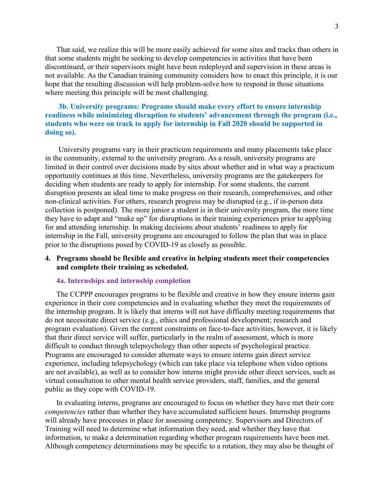That said, we realize this will be more easily achieved for some sites and tracks than others in that some students might be seeking to develop competencies in activities that have been discontinued, or their supervisors might have been redeployed and supervision in these areas is not available. As the Canadian training community considers how to enact this principle, it is our hope that the resulting discussion will help problem-solve how to respond in those situations where meeting this principle will be most challenging.

# **3b. University programs: Programs should make every effort to ensure internship readiness while minimizing disruption to students' advancement through the program (i.e., students who were on track to apply for internship in Fall 2020 should be supported in doing so).**

University programs vary in their practicum requirements and many placements take place in the community, external to the university program. As a result, university programs are limited in their control over decisions made by sites about whether and in what way a practicum opportunity continues at this time. Nevertheless, university programs are the gatekeepers for deciding when students are ready to apply for internship. For some students, the current disruption presents an ideal time to make progress on their research, comprehensives, and other non-clinical activities. For others, research progress may be disrupted (e.g., if in-person data collection is postponed). The more junior a student is in their university program, the more time they have to adapt and "make up" for disruptions in their training experiences prior to applying for and attending internship. In making decisions about students' readiness to apply for internship in the Fall, university programs are encouraged to follow the plan that was in place prior to the disruptions posed by COVID-19 as closely as possible.

## **4. Programs should be flexible and creative in helping students meet their competencies and complete their training as scheduled.**

#### **4a. Internships and internship completion**

The CCPPP encourages programs to be flexible and creative in how they ensure interns gain experience in their core competencies and in evaluating whether they meet the requirements of the internship program. It is likely that interns will not have difficulty meeting requirements that do not necessitate direct service (e.g., ethics and professional development; research and program evaluation). Given the current constraints on face-to-face activities, however, it is likely that their direct service will suffer, particularly in the realm of assessment, which is more difficult to conduct through telepsychology than other aspects of psychological practice. Programs are encouraged to consider alternate ways to ensure interns gain direct service experience, including telepsychology (which can take place via telephone when video options are not available), as well as to consider how interns might provide other direct services, such as virtual consultation to other mental health service providers, staff, families, and the general public as they cope with COVID-19.

In evaluating interns, programs are encouraged to focus on whether they have met their core *competencies* rather than whether they have accumulated sufficient hours. Internship programs will already have processes in place for assessing competency. Supervisors and Directors of Training will need to determine what information they need, and whether they have that information, to make a determination regarding whether program requirements have been met. Although competency determinations may be specific to a rotation, they may also be thought of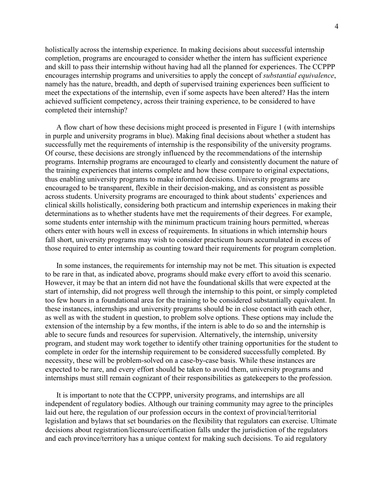holistically across the internship experience. In making decisions about successful internship completion, programs are encouraged to consider whether the intern has sufficient experience and skill to pass their internship without having had all the planned for experiences. The CCPPP encourages internship programs and universities to apply the concept of *substantial equivalence*, namely has the nature, breadth, and depth of supervised training experiences been sufficient to meet the expectations of the internship, even if some aspects have been altered? Has the intern achieved sufficient competency, across their training experience, to be considered to have completed their internship?

A flow chart of how these decisions might proceed is presented in Figure 1 (with internships in purple and university programs in blue). Making final decisions about whether a student has successfully met the requirements of internship is the responsibility of the university programs. Of course, these decisions are strongly influenced by the recommendations of the internship programs. Internship programs are encouraged to clearly and consistently document the nature of the training experiences that interns complete and how these compare to original expectations, thus enabling university programs to make informed decisions. University programs are encouraged to be transparent, flexible in their decision-making, and as consistent as possible across students. University programs are encouraged to think about students' experiences and clinical skills holistically, considering both practicum and internship experiences in making their determinations as to whether students have met the requirements of their degrees. For example, some students enter internship with the minimum practicum training hours permitted, whereas others enter with hours well in excess of requirements. In situations in which internship hours fall short, university programs may wish to consider practicum hours accumulated in excess of those required to enter internship as counting toward their requirements for program completion.

In some instances, the requirements for internship may not be met. This situation is expected to be rare in that, as indicated above, programs should make every effort to avoid this scenario. However, it may be that an intern did not have the foundational skills that were expected at the start of internship, did not progress well through the internship to this point, or simply completed too few hours in a foundational area for the training to be considered substantially equivalent. In these instances, internships and university programs should be in close contact with each other, as well as with the student in question, to problem solve options. These options may include the extension of the internship by a few months, if the intern is able to do so and the internship is able to secure funds and resources for supervision. Alternatively, the internship, university program, and student may work together to identify other training opportunities for the student to complete in order for the internship requirement to be considered successfully completed. By necessity, these will be problem-solved on a case-by-case basis. While these instances are expected to be rare, and every effort should be taken to avoid them, university programs and internships must still remain cognizant of their responsibilities as gatekeepers to the profession.

It is important to note that the CCPPP, university programs, and internships are all independent of regulatory bodies. Although our training community may agree to the principles laid out here, the regulation of our profession occurs in the context of provincial/territorial legislation and bylaws that set boundaries on the flexibility that regulators can exercise. Ultimate decisions about registration/licensure/certification falls under the jurisdiction of the regulators and each province/territory has a unique context for making such decisions. To aid regulatory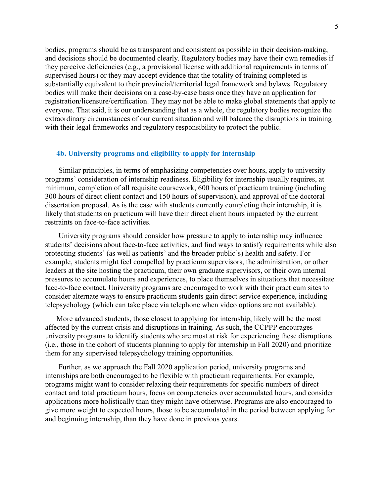bodies, programs should be as transparent and consistent as possible in their decision-making, and decisions should be documented clearly. Regulatory bodies may have their own remedies if they perceive deficiencies (e.g., a provisional license with additional requirements in terms of supervised hours) or they may accept evidence that the totality of training completed is substantially equivalent to their provincial/territorial legal framework and bylaws. Regulatory bodies will make their decisions on a case-by-case basis once they have an application for registration/licensure/certification. They may not be able to make global statements that apply to everyone. That said, it is our understanding that as a whole, the regulatory bodies recognize the extraordinary circumstances of our current situation and will balance the disruptions in training with their legal frameworks and regulatory responsibility to protect the public.

#### **4b. University programs and eligibility to apply for internship**

Similar principles, in terms of emphasizing competencies over hours, apply to university programs' consideration of internship readiness. Eligibility for internship usually requires, at minimum, completion of all requisite coursework, 600 hours of practicum training (including 300 hours of direct client contact and 150 hours of supervision), and approval of the doctoral dissertation proposal. As is the case with students currently completing their internship, it is likely that students on practicum will have their direct client hours impacted by the current restraints on face-to-face activities.

University programs should consider how pressure to apply to internship may influence students' decisions about face-to-face activities, and find ways to satisfy requirements while also protecting students' (as well as patients' and the broader public's) health and safety. For example, students might feel compelled by practicum supervisors, the administration, or other leaders at the site hosting the practicum, their own graduate supervisors, or their own internal pressures to accumulate hours and experiences, to place themselves in situations that necessitate face-to-face contact. University programs are encouraged to work with their practicum sites to consider alternate ways to ensure practicum students gain direct service experience, including telepsychology (which can take place via telephone when video options are not available).

More advanced students, those closest to applying for internship, likely will be the most affected by the current crisis and disruptions in training. As such, the CCPPP encourages university programs to identify students who are most at risk for experiencing these disruptions (i.e., those in the cohort of students planning to apply for internship in Fall 2020) and prioritize them for any supervised telepsychology training opportunities.

Further, as we approach the Fall 2020 application period, university programs and internships are both encouraged to be flexible with practicum requirements. For example, programs might want to consider relaxing their requirements for specific numbers of direct contact and total practicum hours, focus on competencies over accumulated hours, and consider applications more holistically than they might have otherwise. Programs are also encouraged to give more weight to expected hours, those to be accumulated in the period between applying for and beginning internship, than they have done in previous years.